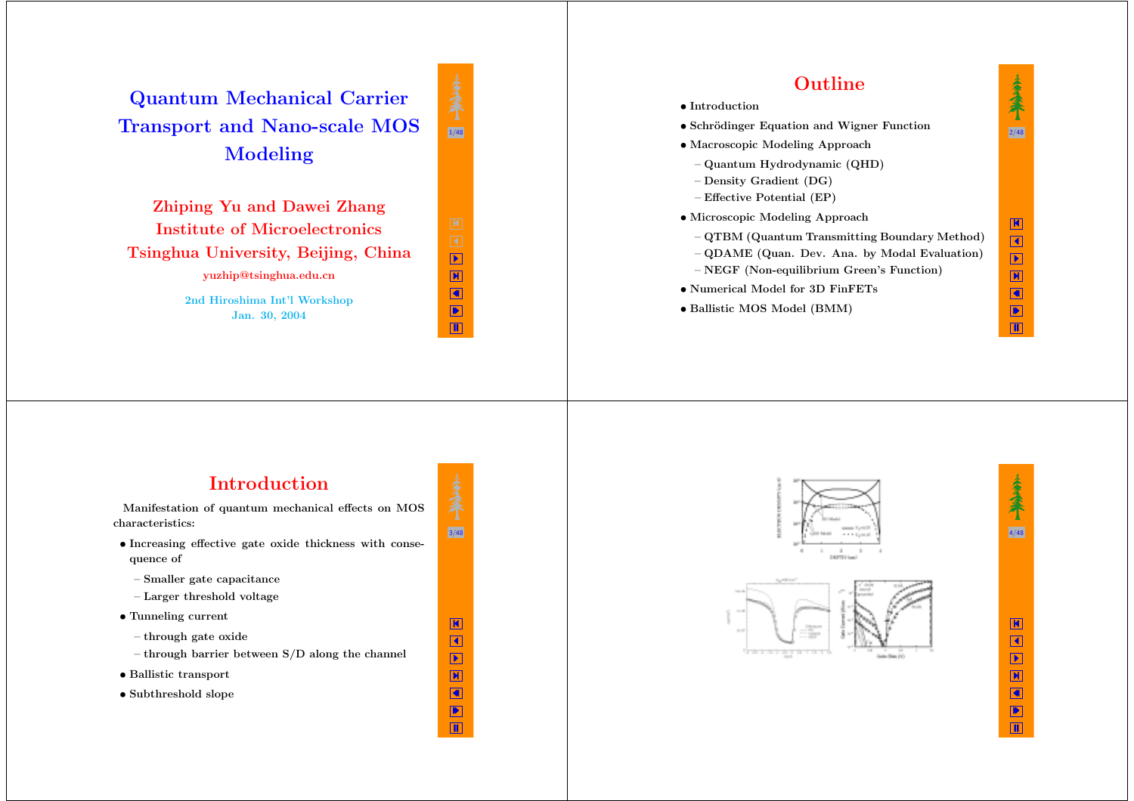**Quantum Mechanical Carrier Transport and Nano-scale MOS Modeling**

**Zhiping Yu and Dawei Zhang Institute of MicroelectronicsTsinghua University, Beijing, China yuzhip@tsinghua.edu.cn**

> **2nd Hiroshima Int'l Workshop Jan. 30, 2004**



3/48

K  $\blacktriangleleft$  X ◀ ▶ Щ



## **Introduction**

**Manifestation of quantum mechanical effects on MOS characteristics:**

- *•* **Increasing effective gate oxide thickness with consequence of**
- **– Smaller gate capacitance**
- **– Larger threshold voltage**
- *•* **Tunneling current**
- **– through gate oxide**
- **– through barrier between S/D along the channel**
- *•* **Ballistic transport**
- *•* **Subthreshold slope**

**CASTLE LA** 





Щ

K  $\blacktriangleleft$  $\boxed{\blacktriangleright}$ X ◀ ▶

 $\blacksquare$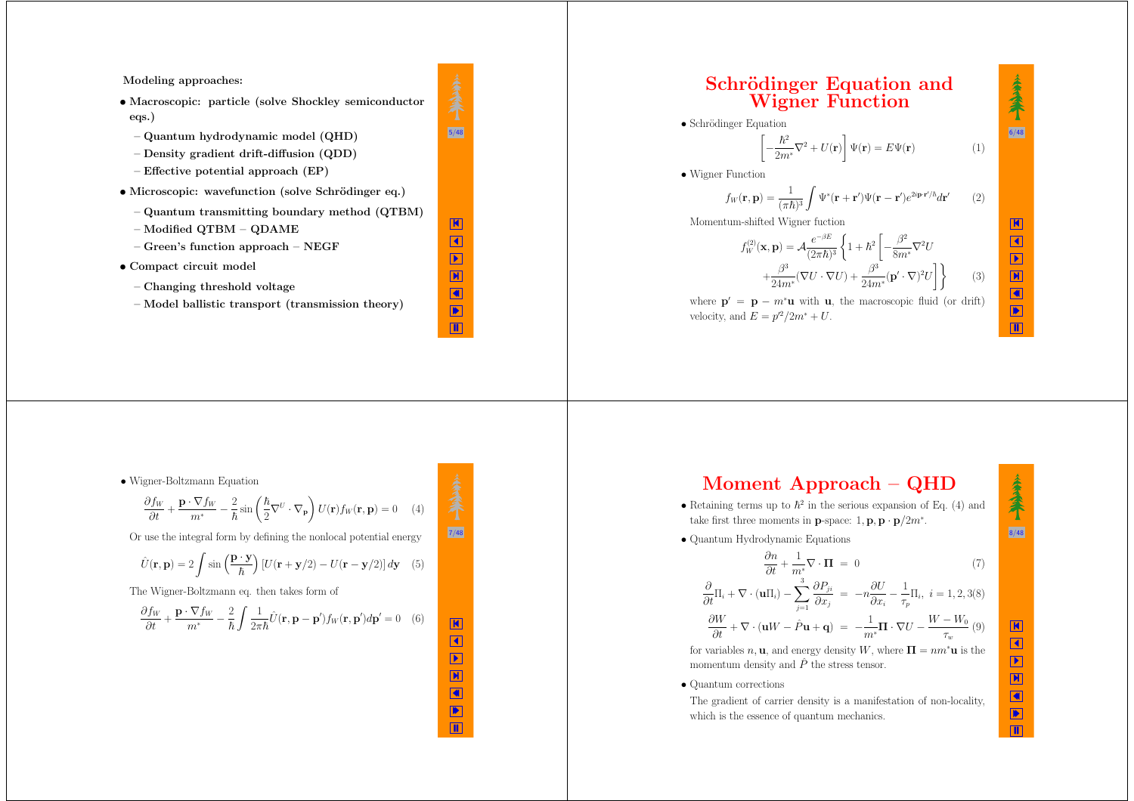**Modeling approaches:**

*•* **Macroscopic: particle (solve Shockley semiconductor eqs.)**

 $5/48$ 

K  $\blacktriangleleft$  X ◀ ▶ Щ

K  $\blacktriangleleft$  X ◀ ▶ Щ

 $(5)$ 

- **– Quantum hydrodynamic model (QHD)**
- **– Density gradient drift-diffusion (QDD)**
- **– Effective potential approach (EP)**
- *•* **Microscopic: wavefunction (solve Schr¨odinger eq.)**
	- **– Quantum transmitting boundary method (QTBM)**
	- **– Modified QTBM – QDAME**
- **– Green's function approach – NEGF**
- *•* **Compact circuit model**
	- **– Changing threshold voltage**
	- **– Model ballistic transport (transmission theory)**

## **Schrödinger Equation** and **Wigner Function**

• Schrödinger Equation

$$
\left[-\frac{\hbar^2}{2m^*}\nabla^2 + U(\mathbf{r})\right]\Psi(\mathbf{r}) = E\Psi(\mathbf{r})\tag{1}
$$

• Wigner Function

$$
f_W(\mathbf{r}, \mathbf{p}) = \frac{1}{(\pi \hbar)^3} \int \Psi^*(\mathbf{r} + \mathbf{r}') \Psi(\mathbf{r} - \mathbf{r}') e^{2i\mathbf{p}\cdot\mathbf{r}'/\hbar} d\mathbf{r}'
$$
 (2)

Momentum-shifted Wigner fuction

$$
f_W^{(2)}(\mathbf{x}, \mathbf{p}) = \mathcal{A} \frac{e^{-\beta E}}{(2\pi\hbar)^3} \left\{ 1 + \hbar^2 \left[ -\frac{\beta^2}{8m^*} \nabla^2 U + \frac{\beta^3}{24m^*} (\nabla U \cdot \nabla U) + \frac{\beta^3}{24m^*} (\mathbf{p}' \cdot \nabla)^2 U \right] \right\}
$$
(3)

where  $\mathbf{p}' = \mathbf{p} - m^* \mathbf{u}$  with **u**, the macroscopic fluid (or drift) velocity, and  $E = p'^2/2m^* + U$ .

#### • Wigner-Boltzmann Equation

$$
\frac{\partial f_W}{\partial t} + \frac{\mathbf{p} \cdot \nabla f_W}{m^*} - \frac{2}{\hbar} \sin \left( \frac{\hbar}{2} \nabla^U \cdot \nabla_{\mathbf{p}} \right) U(\mathbf{r}) f_W(\mathbf{r}, \mathbf{p}) = 0 \quad (4)
$$
\nuse the integral form by defining the replaced potential energy.

\n

Or use the integral form by defining the nonlocal potential energy

$$
\hat{U}(\mathbf{r}, \mathbf{p}) = 2 \int \sin\left(\frac{\mathbf{p} \cdot \mathbf{y}}{\hbar}\right) \left[U(\mathbf{r} + \mathbf{y}/2) - U(\mathbf{r} - \mathbf{y}/2)\right] d\mathbf{y}
$$

The Wigner-Boltzmann eq. then takes form of

$$
\frac{\partial f_W}{\partial t} + \frac{\mathbf{p} \cdot \nabla f_W}{m^*} - \frac{2}{\hbar} \int \frac{1}{2\pi \hbar} \hat{U}(\mathbf{r}, \mathbf{p} - \mathbf{p}') f_W(\mathbf{r}, \mathbf{p}') d\mathbf{p}' = 0 \quad (6)
$$

$$
Moment Approach - QHD
$$

- Retaining terms up to  $\hbar^2$  in the serious expansion of Eq. (4) and take first three moments in **p**-space:  $1, \mathbf{p}, \mathbf{p} \cdot \mathbf{p}/2m^*$ .
- Quantum Hydrodynamic Equations

 $\frac{\partial n}{\partial t} + \frac{1}{m^*}$ 

$$
\nabla \cdot \mathbf{\Pi} = 0 \tag{7}
$$

$$
\frac{\partial}{\partial t}\Pi_i + \nabla \cdot (\mathbf{u}\Pi_i) - \sum_{j=1}^3 \frac{\partial P_{ji}}{\partial x_j} = -n \frac{\partial U}{\partial x_i} - \frac{1}{\tau_p}\Pi_i, \ i = 1, 2, 3(8)
$$

$$
\frac{\partial W}{\partial t} + \nabla \cdot (\mathbf{u}W - \hat{P}\mathbf{u} + \mathbf{q}) = -\frac{1}{m^*}\mathbf{\Pi} \cdot \nabla U - \frac{W - W_0}{\tau_w} (9)
$$

for variables  $n, \mathbf{u}$ , and energy density W, where  $\Pi = nm^* \mathbf{u}$  is the momentum density and  $\hat{P}$  the stress tensor.

• Quantum corrections

The gradient of carrier density is <sup>a</sup> manifestation of non-locality, which is the essence of quantum mechanics.

K  $\blacktriangleleft$  $\mathbf{E}$ X ∢ ▶

Щ

8/48

秦余

6/48

秦余

K  $\blacktriangleleft$  $\boxed{\blacktriangleright}$ X ◀ ▶ Щ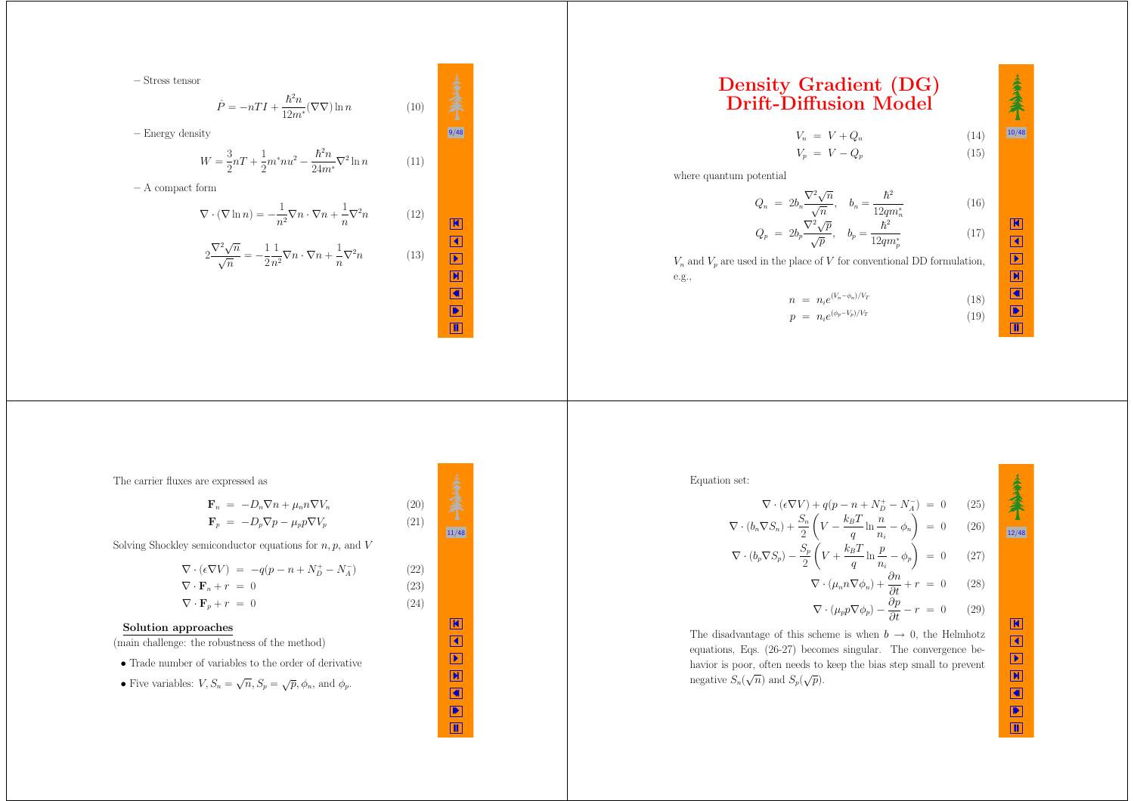**–** Stress tensor

$$
\hat{P} = -nTI + \frac{\hbar^2 n}{12m^*} (\nabla \nabla) \ln n \tag{10}
$$

 $4.4$   $-1.4$   $-1.4$   $-1.4$   $-1.4$   $-1.4$   $-1.4$   $-1.4$   $-1.4$   $-1.4$   $-1.4$   $-1.4$   $-1.4$   $-1.4$   $-1.4$   $-1.4$   $-1.4$   $-1.4$   $-1.4$   $-1.4$   $-1.4$   $-1.4$   $-1.4$   $-1.4$   $-1.4$   $-1.4$   $-1.4$   $-1.4$   $-1.4$   $-1.4$   $-1.4$   $-1.4$ 

K  $\blacktriangleleft$  X ◀ ▶ Щ

 $\boxed{11/48}$ 

<sup>−</sup> *<sup>N</sup>*<sup>−</sup>*<sup>A</sup>* ) (22)

K  $\blacktriangleleft$  $\boxed{\blacktriangleright}$ X ◀ ▶ Щ

$$
W = \frac{3}{2}nT + \frac{1}{2}m^{*}nu^{2} - \frac{\hbar^{2}n}{24m^{*}}\nabla^{2}\ln n
$$
 (11)

**–** A compact form

**–** Energy density

$$
\nabla \cdot (\nabla \ln n) = -\frac{1}{n^2} \nabla n \cdot \nabla n + \frac{1}{n} \nabla^2 n \qquad (12)
$$

$$
2 \frac{\nabla^2 \sqrt{n}}{\sqrt{n}} = -\frac{1}{2} \frac{1}{n^2} \nabla n \cdot \nabla n + \frac{1}{n} \nabla^2 n \qquad (13)
$$

# **Density Gradient (DG) Drift-Diffusion Model**

 $V_n = V + Q_n$  (14)  $V_p = V - Q_p$  (15)  $10/48$ 

秦余

K  $\blacktriangleleft$  X ◀  $\frac{1}{\sqrt{2}}$ 

where quantum potential

$$
Q_n = 2b_n \frac{\nabla^2 \sqrt{n}}{\sqrt{n}}, \quad b_n = \frac{\hbar^2}{12qm_n^*} \tag{16}
$$

$$
Q_p = 2b_p \frac{\nabla^2 \sqrt{p}}{\sqrt{p}}, \quad b_p = \frac{\hbar^2}{12qm_p^*}
$$
 (17)

*Vn* and *V<sup>p</sup>* are used in the <sup>p</sup>lace of *V* for conventional DD formulation, e.g.,

$$
n = n_i e^{(V_n - \phi_n)/V_T}
$$
 (18)  
\n
$$
p = n_i e^{(\phi_p - V_p)/V_T}
$$
 (19)

The carrier fluxes are expressed as

$$
\mathbf{F}_n = -D_n \nabla n + \mu_n n \nabla V_n
$$
\n
$$
\mathbf{F}_p = -D_p \nabla p - \mu_p p \nabla V_p
$$
\n(20)\n(21)

Solving Shockley semiconductor equations for *n, p,* and *V*

$$
\nabla \cdot (\epsilon \nabla V) = -q(p - n + N_D^+ - N_A^-)
$$
(22)  

$$
\nabla \cdot \mathbf{F}_n + r = 0
$$
(23)  

$$
\nabla \cdot \mathbf{F}_p + r = 0
$$
(24)

#### **Solution approaches**

(main challenge: the robustness of the method)

• Trade number of variables to the order of derivative

• Five variables: 
$$
V, S_n = \sqrt{n}, S_p = \sqrt{p}, \phi_n
$$
, and  $\phi_p$ .

Equation set:

$$
\nabla \cdot (\epsilon \nabla V) + q(p - n + N_D^+ - N_A^-) = 0 \qquad (25)
$$
  

$$
\nabla \cdot (b_n \nabla S_n) + \frac{S_n}{2} \left( V - \frac{k_B T}{q} \ln \frac{n}{n_i} - \phi_n \right) = 0 \qquad (26)
$$
  

$$
\nabla \cdot (b_p \nabla S_p) - \frac{S_p}{2} \left( V + \frac{k_B T}{q} \ln \frac{n}{n_i} - \phi_p \right) = 0 \qquad (27)
$$
  

$$
\nabla \cdot (\mu_n n \nabla \phi_n) + \frac{\partial n}{\partial t} + r = 0 \qquad (28)
$$
  

$$
\nabla \cdot (\mu_p p \nabla \phi_p) - \frac{\partial p}{\partial t} - r = 0 \qquad (29)
$$

The disadvantage of this scheme is when  $b \rightarrow 0$ , the Helmhotz equations, Eqs. (26-27) becomes singular. The convergence behavior is poor, often needs to keep the bias step small to prevent negative  $S_n(\sqrt{n})$  and  $S_p(\sqrt{p})$ .

 $12/48$ 

K  $\blacktriangleleft$ Þ X ◀ ▶ Щ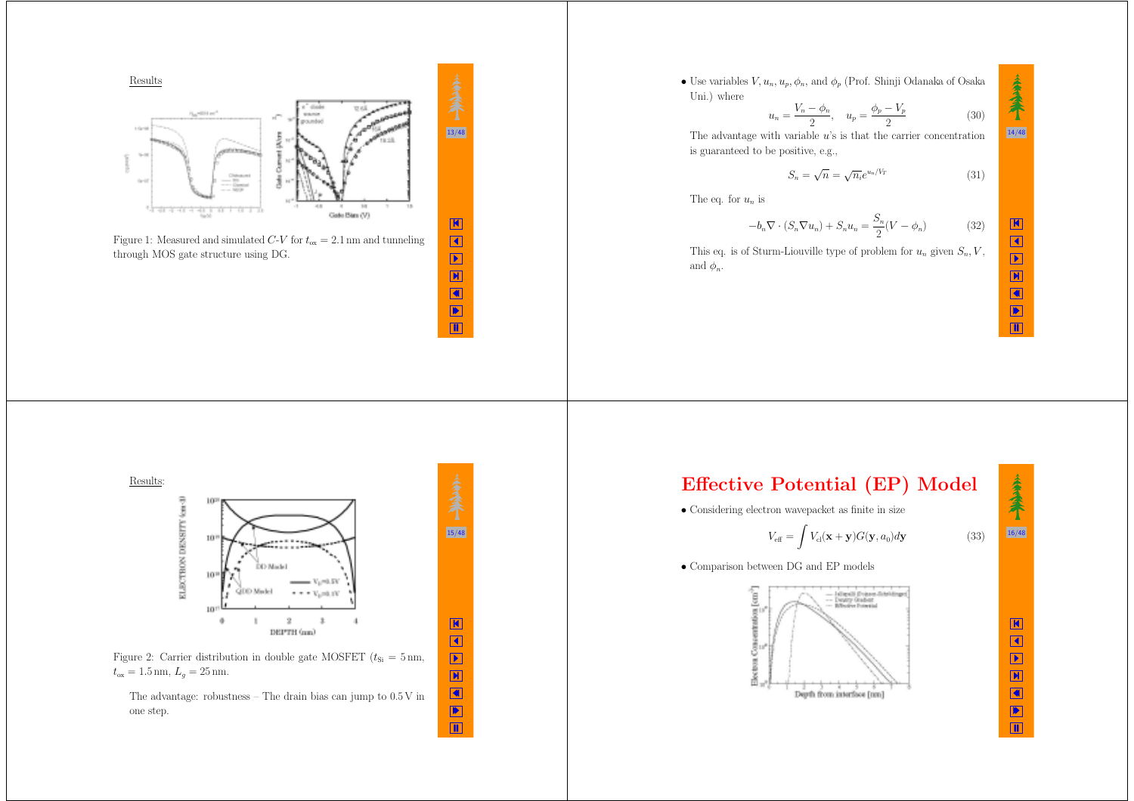

• Use variables  $V, u_n, u_p, \phi_n$ , and  $\phi_p$  (Prof. Shinji Odanaka of Osaka Uni.) where *y V*<sup>*p*</sup> *V*<sup>*p*</sup>

$$
u_n = \frac{V_n - \phi_n}{2}, \quad u_p = \frac{\phi_p - V_p}{2}
$$
 (30)

The advantage with variable *<sup>u</sup>*'s is that the carrier concentration is guaranteed to be positive, e.g.,

$$
S_n = \sqrt{n} = \sqrt{n_i}e^{u_n/V_T} \tag{31}
$$

The eq. for *<sup>u</sup><sup>n</sup>* is

$$
-b_n \nabla \cdot (S_n \nabla u_n) + S_n u_n = \frac{S_n}{2} (V - \phi_n)
$$
 (32)

This eq. is of Sturm-Liouville type of problem for  $u_n$  given  $S_n$ ,  $V$ , and  $\phi_n$ .



Щ

14/48

秦余





The advantage: robustness – The drain bias can jump to 0.5 V in one step.



K

 $\blacktriangleleft$  X ◀ ▶ Щ

15/48

◀ ▶ Щ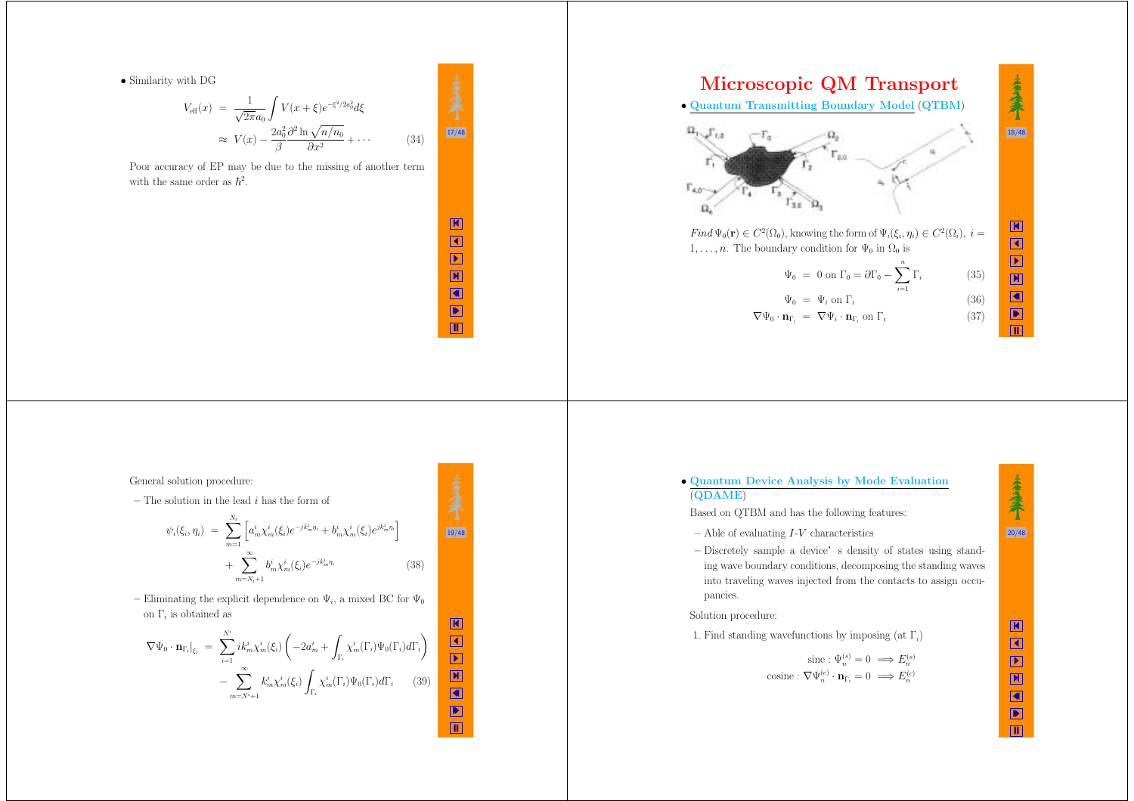• Similarity with DG

$$
V_{\text{eff}}(x) = \frac{1}{\sqrt{2\pi a_0}} \int V(x+\xi)e^{-\xi^2/2a_0^2} d\xi
$$
  

$$
\approx V(x) - \frac{2a_0^2}{\beta} \frac{\partial^2 \ln \sqrt{n/n_0}}{\partial x^2} + \cdots
$$
 (34)

 $\frac{17}{48}$ 

K  $\blacktriangleleft$  X ◀ ▶ Щ

19/48

 $\frac{\mathbf{k}}{\mathbf{k}}$ 

N V R

Poor accuracy of EP may be due to the missing of another term with the same order as  $\hbar^2$ .



General solution procedure:

**–** The solution in the lead *i* has the form of

$$
\psi_i(\xi_i, \eta_i) = \sum_{m=1}^{N_i} \left[ a_m^i \chi_m^i(\xi_i) e^{-jk_m^i \eta_i} + b_m^i \chi_m^i(\xi_i) e^{jk_m^i \eta_i} \right] + \sum_{m=N_i+1}^{\infty} b_m^i \chi_m^i(\xi_i) e^{-jk_m^i \eta_i}
$$
\n(38)

– Eliminating the explicit dependence on  $\Psi_i$ , a mixed BC for  $\Psi_0$ on Γ*<sup>i</sup>* is obtained as

$$
\nabla \Psi_0 \cdot \mathbf{n}_{\Gamma_i} \Big|_{\xi_i} = \sum_{i=1}^{N^i} i k_m^i \chi_m^i(\xi_i) \left( -2a_m^i + \int_{\Gamma_i} \chi_m^i(\Gamma_i) \Psi_0(\Gamma_i) d\Gamma_i \right) - \sum_{m=N^i+1}^{\infty} k_m^i \chi_m^i(\xi_i) \int_{\Gamma_i} \chi_m^i(\Gamma_i) \Psi_0(\Gamma_i) d\Gamma_i \qquad (39)
$$

秦秦 • **Quantum Device Analysis by Mode Evaluation** (**QDAME**) Based on QTBM and has the following features:  $|20/48|$ **–** Able of evaluating *I*-*V* characteristics – Discretely sample a device's density of states using standing wave boundary conditions, decomposing the standing waves into traveling waves injected from the contacts to assign occupancies. Solution procedure:

1. Find standing wavefunctions by imposing (at <sup>Γ</sup>*i*)

$$
\text{ sine}: \Psi_n^{(s)} = 0 \implies E_n^{(s)}
$$
  
cosine:  $\nabla \Psi_n^{(c)} \cdot \mathbf{n}_{\Gamma_i} = 0 \implies E_n^{(c)}$ 

Щ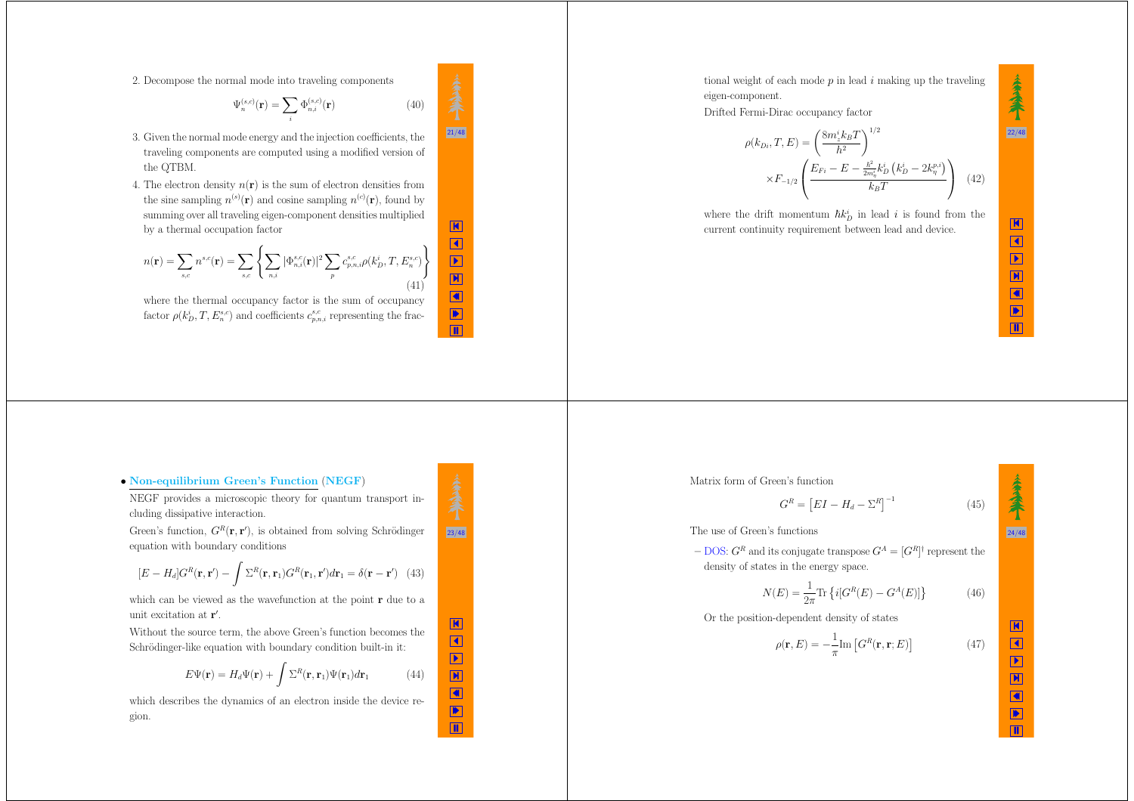2. Decompose the normal mode into traveling components

$$
\Psi_n^{(s,c)}(\mathbf{r}) = \sum_i \Phi_{n,i}^{(s,c)}(\mathbf{r})
$$
\n(40)

- 3. Given the normal mode energy and the injection coefficients, the traveling components are computed using <sup>a</sup> modified version of the QTBM.
- 4. The electron density  $n(\mathbf{r})$  is the sum of electron densities from the sine sampling  $n^{(s)}(\mathbf{r})$  and cosine sampling  $n^{(c)}(\mathbf{r})$ , found by summing over all traveling eigen-component densities multiplied by <sup>a</sup> thermal occupation factor

$$
n(\mathbf{r}) = \sum_{s,c} n^{s,c}(\mathbf{r}) = \sum_{s,c} \left\{ \sum_{n,i} |\Phi_{n,i}^{s,c}(\mathbf{r})|^2 \sum_{p} c_{p,n,i}^{s,c} \rho(k_D^i, T, E_n^{s,c}) \right\}
$$
(41)

where the thermal occupancy factor is the sum of occupancy factor  $\rho(k_D^i, T, E_n^{s,c})$  and coefficients  $c_{p,n,i}^{s,c}$  representing the fractional weight of each mode *p* in lead *i* making up the traveling eigen-component.

Drifted Fermi-Dirac occupancy factor

$$
\rho(k_{Di}, T, E) = \left(\frac{8m_z^i k_B T}{h^2}\right)^{1/2} \times F_{-1/2} \left(\frac{E_{Fi} - E - \frac{h^2}{2m_{\eta}^i} k_D^i (k_D^i - 2k_{\eta}^{p,i})}{k_B T}\right)
$$
(42)

where the drift momentum  $\hbar k_D^i$  in lead *i* is found from the current continuity requirement between lead and device.

K  $\blacktriangleleft$  X

> ◀ ▶ Щ

24/48

秦余

K  $\blacktriangleleft$  $\mathbf{E}$ X ∢ ▶  $\overline{\mathbf{u}}$ 

22/48

秦秦

#### • **Non-equilibrium Green's Function** (**NEGF**)

NEGF provides <sup>a</sup> microscopic theory for quantum transport including dissipative interaction.

Green's function,  $G^R(\mathbf{r}, \mathbf{r}')$ , is obtained from solving Schrödinger equation with boundary conditions

$$
[E - H_d]G^R(\mathbf{r}, \mathbf{r}') - \int \Sigma^R(\mathbf{r}, \mathbf{r}_1) G^R(\mathbf{r}_1, \mathbf{r}') d\mathbf{r}_1 = \delta(\mathbf{r} - \mathbf{r}') \tag{43}
$$

which can be viewed as the wavefunction at the point **<sup>r</sup>** due to <sup>a</sup> unit excitation at **<sup>r</sup>** .

Without the source term, the above Green's function becomes the Schrödinger-like equation with boundary condition built-in it:

$$
E\Psi(\mathbf{r}) = H_d\Psi(\mathbf{r}) + \int \Sigma^R(\mathbf{r}, \mathbf{r}_1)\Psi(\mathbf{r}_1)d\mathbf{r}_1 \tag{44}
$$

which describes the dynamics of an electron inside the device region.

 $G^{R} = [EI - H_d - \Sigma^{R}]^{-1}$  (45) The use of Green's functions

Matrix form of Green's function

 $-$  DOS:  $G^R$  and its conjugate transpose  $G^A = [G^R]^\dagger$  represent the density of states in the energy space.

$$
N(E) = \frac{1}{2\pi} \text{Tr} \left\{ i[G^R(E) - G^A(E)] \right\} \tag{46}
$$

Or the position-dependent density of states

$$
\rho(\mathbf{r}, E) = -\frac{1}{\pi} \text{Im} \left[ G^{R}(\mathbf{r}, \mathbf{r}; E) \right]
$$
\n(47)

$$
\frac{1}{23/48}
$$

K  $\blacktriangleleft$  $\hfill\blacksquare$ X ◀ ▶ Щ

 $\frac{1}{21/48}$ 

K  $\blacktriangleleft$  $\boxed{\blacktriangleright}$ X ◀ ▶  $\blacksquare$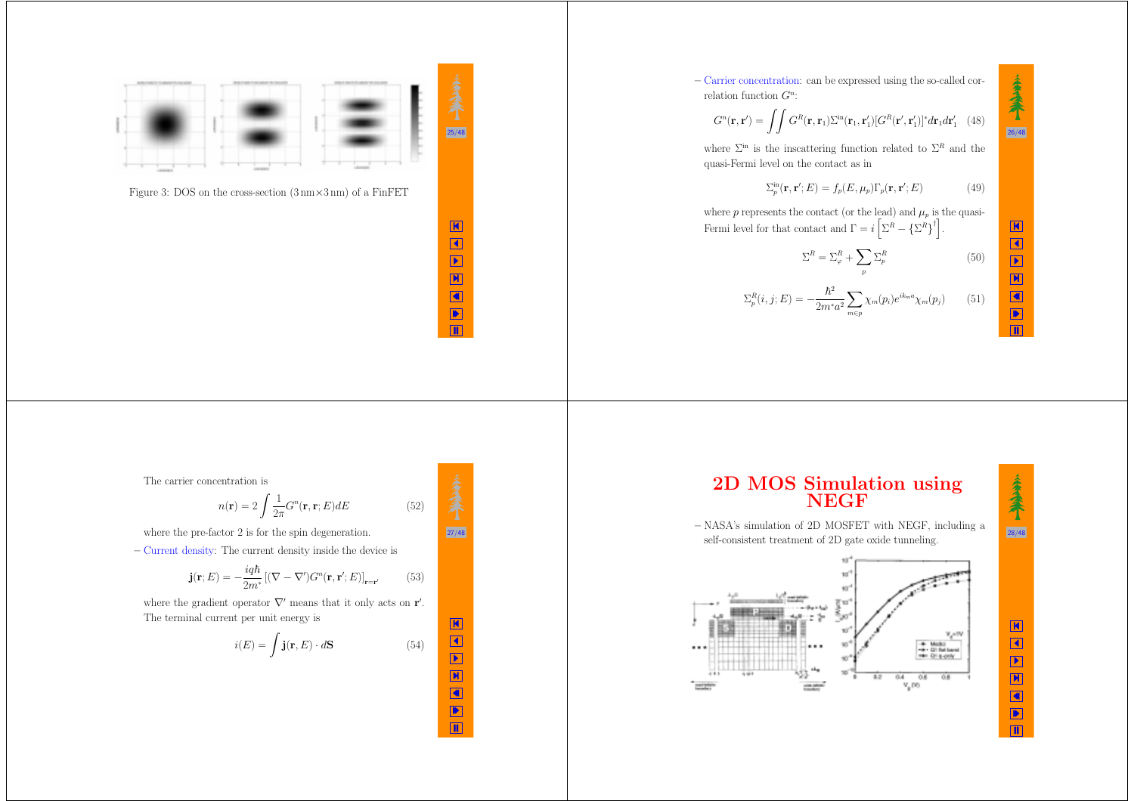

Figure 3: DOS on the cross-section  $(3 \text{ nm} \times 3 \text{ nm})$  of a FinFET

K  $\blacktriangleleft$  X ◀ ▶ Щ

 $|27/48|$ 

K  $\blacktriangleleft$ Þ

 $\frac{1}{4}$ ▶ Щ **–** Carrier concentration: can be expressed using the so-called correlation function *G<sup>n</sup>*:

$$
G^{n}(\mathbf{r}, \mathbf{r}') = \iint G^{R}(\mathbf{r}, \mathbf{r}_{1}) \Sigma^{\text{in}}(\mathbf{r}_{1}, \mathbf{r}'_{1}) [G^{R}(\mathbf{r}', \mathbf{r}'_{1})]^{*} d\mathbf{r}_{1} d\mathbf{r}'_{1} \quad (48)
$$

where  $\Sigma^{\text{in}}$  is the inscattering function related to  $\Sigma^R$  and the quasi-Fermi level on the contact as in

$$
\sum_{p}^{\text{in}}(\mathbf{r}, \mathbf{r}'; E) = f_p(E, \mu_p) \Gamma_p(\mathbf{r}, \mathbf{r}'; E)
$$
(49)

where  $p$  represents the contact (or the lead) and  $\mu_p$  is the quasi-Fermi level for that contact and  $\Gamma = i \left[ \Sigma^R - {\{\Sigma^R\}}^{\dagger} \right]$ .

$$
\Sigma^R = \Sigma^R_{\varphi} + \sum_p \Sigma^R_p \tag{50}
$$

$$
\Sigma_p^R(i,j;E) = -\frac{\hbar^2}{2m^*a^2} \sum_{m \in p} \chi_m(p_i) e^{ik_m a} \chi_m(p_j) \qquad (51)
$$

# K  $\blacktriangleleft$  $\boxed{\blacktriangleright}$ X ◀ ▶

 $\Box$ 

 $|26/48|$ 

秦秦

The carrier concentration is

$$
n(\mathbf{r}) = 2 \int \frac{1}{2\pi} G^n(\mathbf{r}, \mathbf{r}; E) dE
$$
 (52)

where the pre-factor 2 is for the spin degeneration.

**–** Current density: The current density inside the device is

$$
\mathbf{j}(\mathbf{r};E) = -\frac{i q \hbar}{2m^*} \left[ (\nabla - \nabla') G^n(\mathbf{r}, \mathbf{r}';E) \right]_{\mathbf{r} = \mathbf{r}'} \tag{53}
$$

where the gradient operator  $\nabla'$  means that it only acts on **r**'. The terminal current per unit energy is

$$
i(E) = \int \mathbf{j}(\mathbf{r}, E) \cdot d\mathbf{S}
$$
 (54)

**2D MOS Simulation using NEGF**

**–** NASA's simulation of 2D MOSFET with NEGF, including <sup>a</sup> self-consistent treatment of 2D gate oxide tunneling.





## K  $\blacktriangleleft$  $\boxed{\blacktriangleright}$ X ∢ ▶

Щ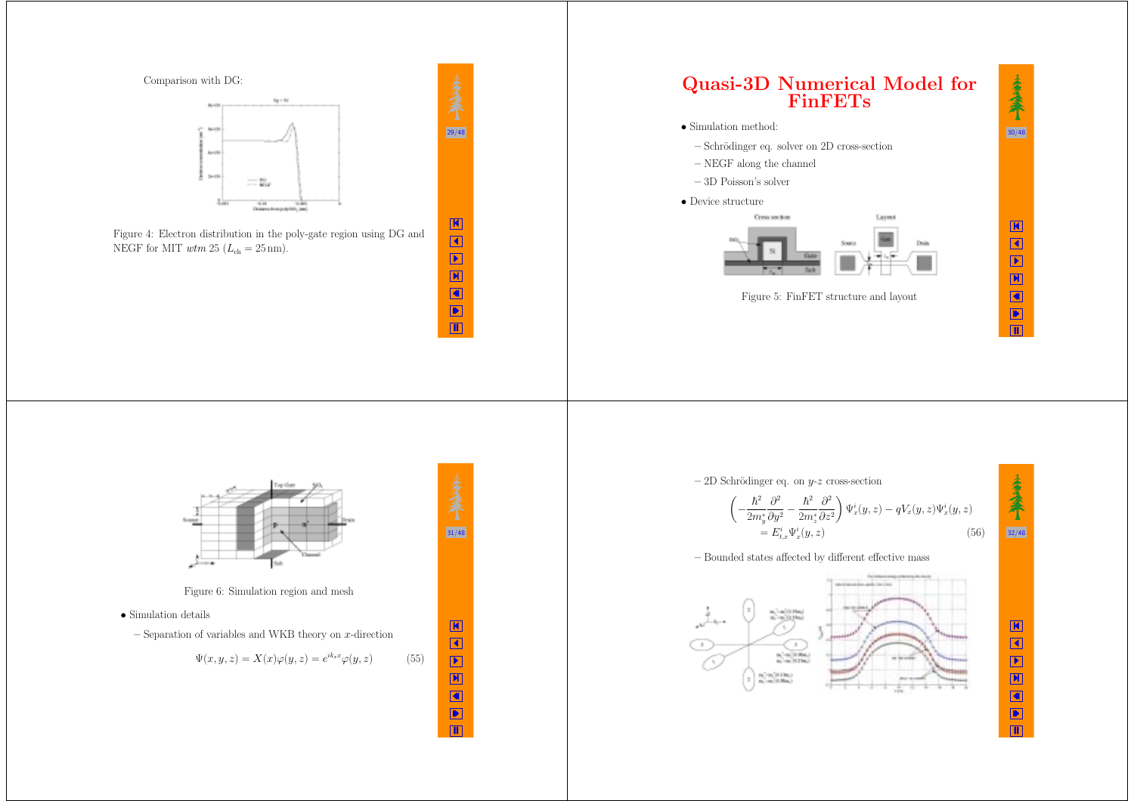



Figure 4: Electron distribution in the poly-gate region using DG and NEGF for MIT  $wtm 25$   $(L_{ch} = 25 \text{ nm}).$ 



31/48

K  $\blacktriangleleft$  $\boxed{\blacktriangleright}$ X ∢ ▶ Щ



Figure 5: FinFET structure and layout



 $\Box$ 

Figure 6: Simulation region and mesh

- Simulation details
	- **–** Separation of variables and WKB theory on *<sup>x</sup>*-direction

$$
\Psi(x, y, z) = X(x)\varphi(y, z) = e^{ik_x x}\varphi(y, z)
$$
\n(55)

**–** 2D Schr¨odinger eq. on *y*-*<sup>z</sup>* cross-section

$$
\begin{aligned}\n\left(-\frac{\hbar^2}{2m_y^*}\frac{\partial^2}{\partial y^2} - \frac{\hbar^2}{2m_z^*}\frac{\partial^2}{\partial z^2}\right)\Psi_x^i(y,z) - qV_x(y,z)\Psi_x^i(y,z) \\
&= E_{t,x}^i\Psi_x^i(y,z)\n\end{aligned} \tag{56}
$$

#### **–** Bounded states affected by different effective mass



K  $\blacktriangleleft$  $\boxed{\blacktriangleright}$ X ∢ ▶

Щ

32/48

秦秦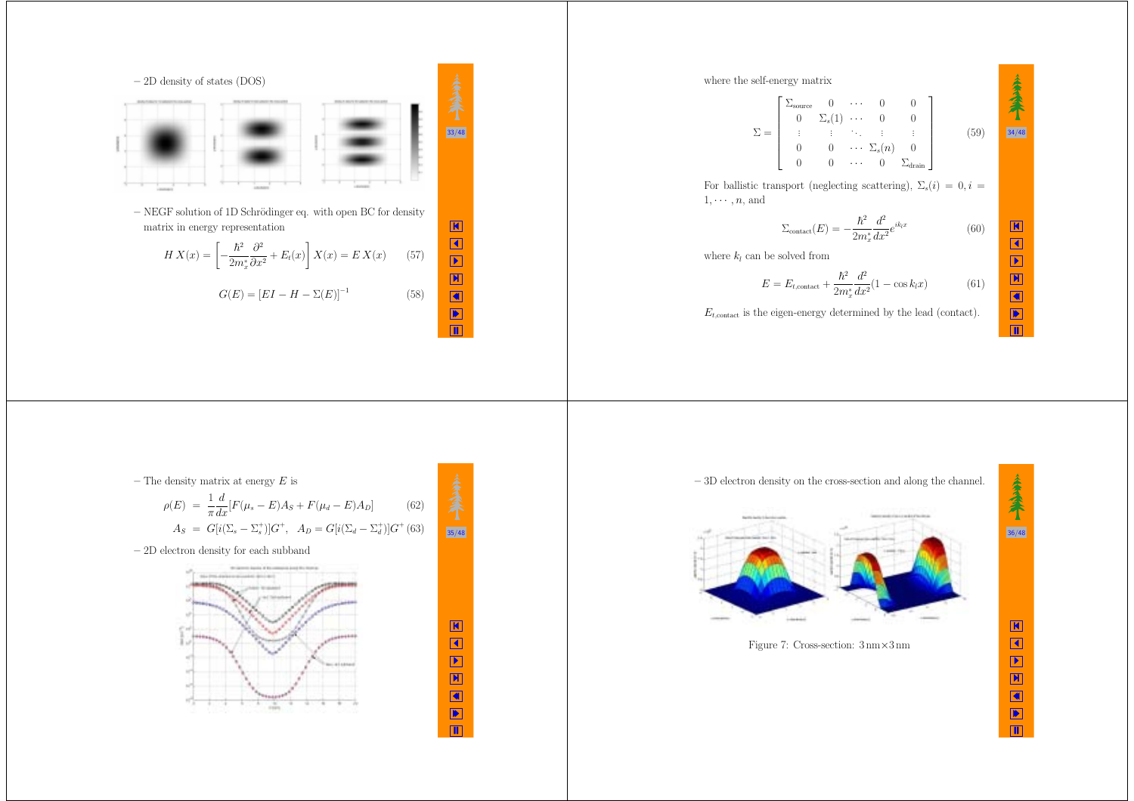

where the self-energy matrix  
\n
$$
\Sigma = \begin{bmatrix}\n\Sigma_{\text{source}} & 0 & \cdots & 0 & 0 \\
0 & \Sigma_s(1) & \cdots & 0 & 0 \\
\vdots & \vdots & \ddots & \vdots & \vdots \\
0 & 0 & \cdots & \Sigma_s(n) & 0 \\
0 & 0 & \cdots & 0 & \Sigma_{\text{drain}}\n\end{bmatrix}
$$
\n(59)  
\nFor ballistic transport (neglecting scattering),  $\Sigma_s(i) = 0, i =$   
\n $1, \cdots, n$ , and  
\n
$$
\Sigma_{\text{contact}}(E) = -\frac{\hbar^2}{2m_x^*} \frac{d^2}{dx^2} e^{ik_x x}
$$
\n(60)  
\nwhere  $k_l$  can be solved from  
\n
$$
E = E_{t,\text{contact}} + \frac{\hbar^2}{2m_x^*} \frac{d^2}{dx^2} (1 - \cos k_l x)
$$
\n(61)  
\n $E_{t,\text{contact}}$  is the eigen-energy determined by the lead (contact).



**–** The density matrix at energy *E* is

density matrix at energy 
$$
E
$$
 is  
\n
$$
\rho(E) = \frac{1}{\pi} \frac{d}{dx} [F(\mu_s - E)A_S + F(\mu_d - E)A_D]
$$
\n(62)  
\n
$$
A_S = G[i(\Sigma_s - \Sigma_s^*)]G^+, \quad A_D = G[i(\Sigma_d - \Sigma_d^*)]G^+(63)
$$
\n35/48

 $\frac{\mathbf{k}}{\mathbf{k}}$ 

N V A

**–** 2D electron density for each subband

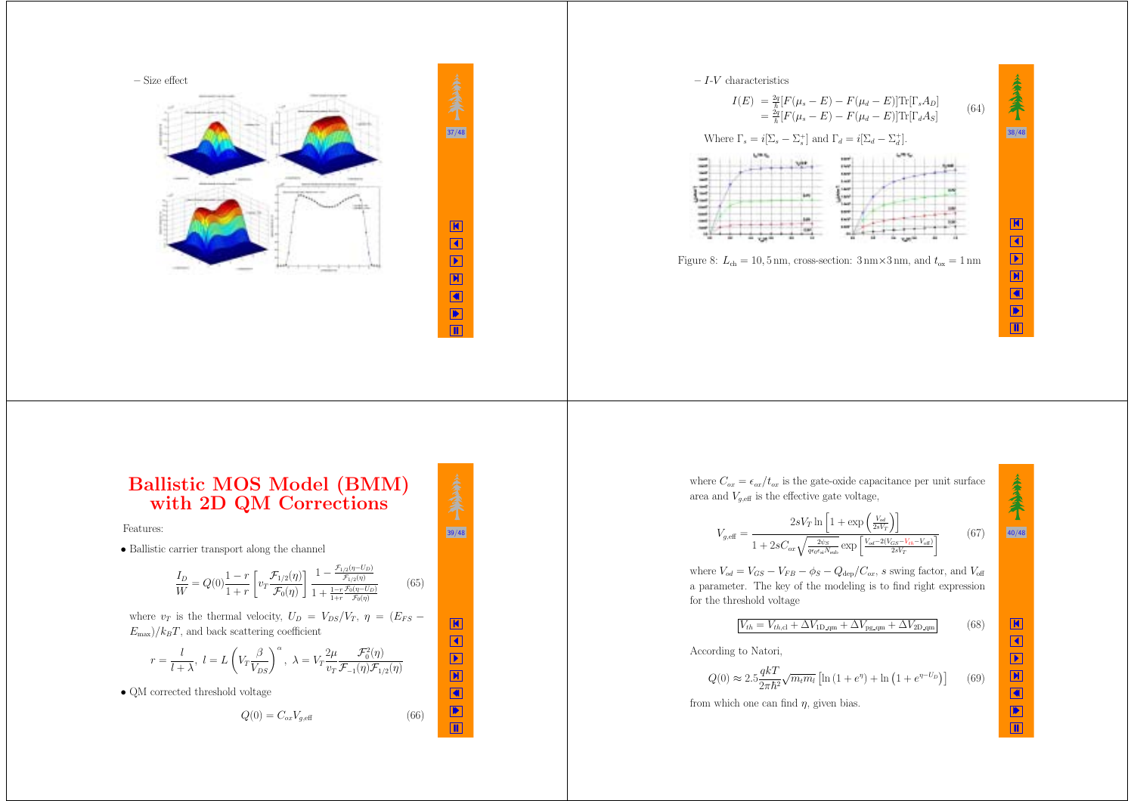

 $37/48$ 

K  $\blacktriangleleft$  X ◀ ▶  $\blacksquare$ 

39/48

K  $\blacktriangleleft$  $\hfill\blacksquare$ X ◀ ▶ Щ

 $(66)$ 



## **Ballistic MOS Model (BMM) with 2D QM Corrections**

Features:

• Ballistic carrier transport along the channel

$$
\frac{I_D}{W} = Q(0)\frac{1-r}{1+r} \left[ v_T \frac{\mathcal{F}_{1/2}(\eta)}{\mathcal{F}_0(\eta)} \right] \frac{1 - \frac{\mathcal{F}_{1/2}(\eta - U_D)}{\mathcal{F}_{1/2}(\eta)} }{1 + \frac{1-r}{1+r} \frac{\mathcal{F}_0(\eta - U_D)}{\mathcal{F}_0(\eta)}} \tag{65}
$$

where  $v_T$  is the thermal velocity,  $U_D = V_{DS}/V_T$ ,  $\eta = (E_{FS} E_{\text{max}}$ / $k_B$ *T*, and back scattering coefficient

$$
r = \frac{l}{l + \lambda}, \ l = L\left(V_T \frac{\beta}{V_{DS}}\right)^{\alpha}, \ \lambda = V_T \frac{2\mu}{v_T} \frac{\mathcal{F}_0^2(\eta)}{\mathcal{F}_{-1}(\eta)\mathcal{F}_{1/2}(\eta)}
$$

• QM corrected threshold voltage

$$
Q(0) = C_{ox} V_{g,\text{eff}}
$$

where  $C_{ox} = \epsilon_{ox}/t_{ox}$  is the gate-oxide capacitance per unit surface area and  $V_{g,eff}$  is the effective gate voltage,

$$
V_{g, \text{eff}} = \frac{2sV_T \ln\left[1 + \exp\left(\frac{V_{od}}{2sV_T}\right)\right]}{1 + 2sC_{ox}\sqrt{\frac{2\psi_S}{q\epsilon_0\epsilon_{\text{sl}}N_{\text{sub}}}}\exp\left[\frac{V_{od} - 2(V_{GS} - V_{th} - V_{\text{off}})}{2sV_T}\right]}
$$
(67)

where  $V_{od} = V_{GS} - V_{FB} - \phi_S - Q_{\text{dep}}/C_{ox}$ , *s* swing factor, and  $V_{\text{off}}$ <sup>a</sup> parameter. The key of the modeling is to find right expression for the threshold voltage

$$
V_{th} = V_{th,cl} + \Delta V_{1D,qm} + \Delta V_{pg,qm} + \Delta V_{2D,qm}
$$
 (68)

According to Natori,

$$
Q(0) \approx 2.5 \frac{qkT}{2\pi\hbar^2} \sqrt{m_t m_l} \left[ \ln\left(1 + e^{\eta}\right) + \ln\left(1 + e^{\eta - U_D}\right) \right] \tag{69}
$$

from which one can find *η*, given bias.

秦秦 40/48 K  $\blacktriangleleft$  $\hfill\blacksquare$ X ◀ ▶

Щ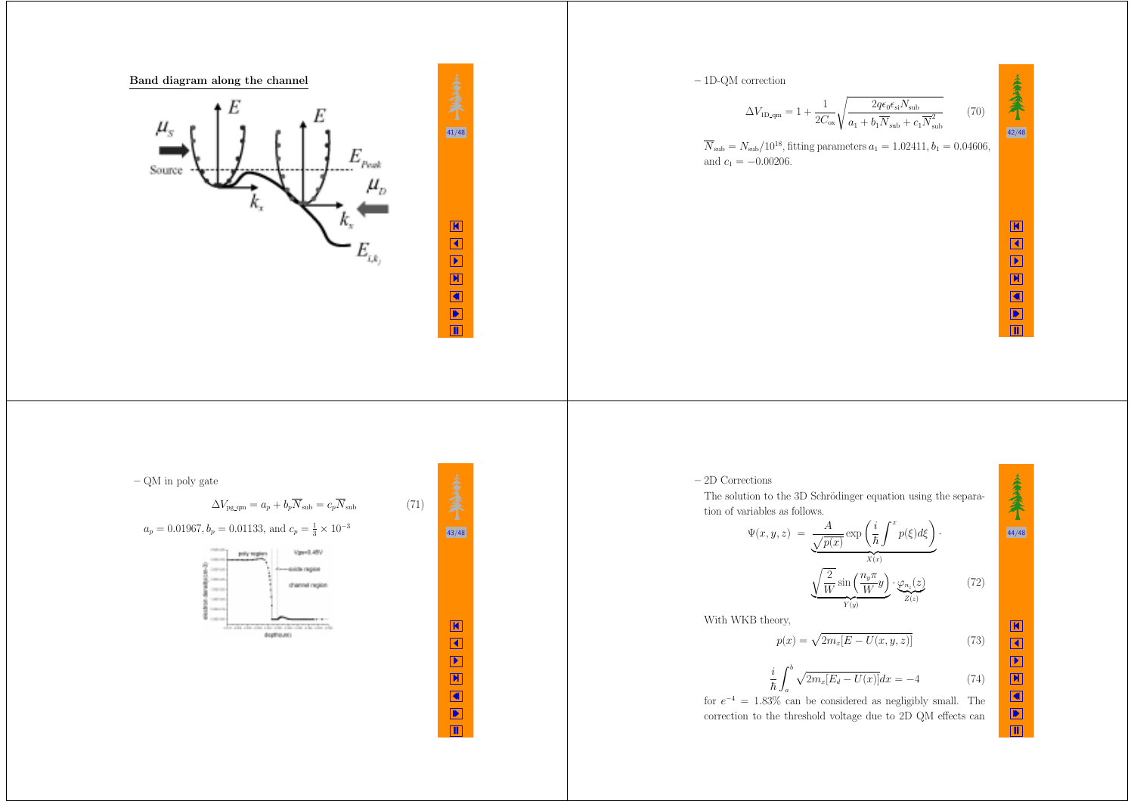